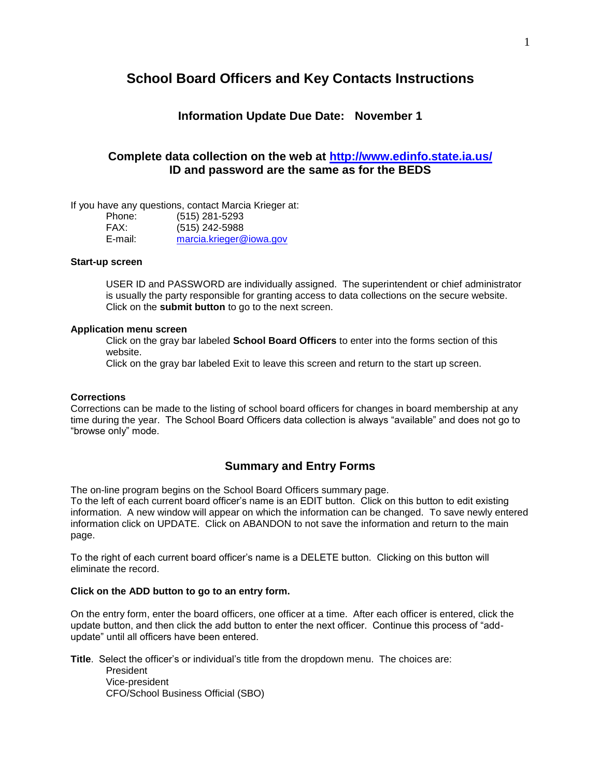# **School Board Officers and Key Contacts Instructions**

### **Information Update Due Date: November 1**

## **Complete data collection on the web at [http://www.edinfo.state.ia.us/](http://www.ed.state.ia.us/) ID and password are the same as for the BEDS**

If you have any questions, contact Marcia Krieger at:

| Phone:  | (515) 281-5293          |
|---------|-------------------------|
| FAX:    | (515) 242-5988          |
| E-mail: | marcia.krieger@iowa.gov |

#### **Start-up screen**

USER ID and PASSWORD are individually assigned. The superintendent or chief administrator is usually the party responsible for granting access to data collections on the secure website. Click on the **submit button** to go to the next screen.

#### **Application menu screen**

Click on the gray bar labeled **School Board Officers** to enter into the forms section of this website.

Click on the gray bar labeled Exit to leave this screen and return to the start up screen.

### **Corrections**

Corrections can be made to the listing of school board officers for changes in board membership at any time during the year. The School Board Officers data collection is always "available" and does not go to "browse only" mode.

# **Summary and Entry Forms**

The on-line program begins on the School Board Officers summary page.

To the left of each current board officer's name is an EDIT button. Click on this button to edit existing information. A new window will appear on which the information can be changed. To save newly entered information click on UPDATE. Click on ABANDON to not save the information and return to the main page.

To the right of each current board officer's name is a DELETE button. Clicking on this button will eliminate the record.

### **Click on the ADD button to go to an entry form.**

On the entry form, enter the board officers, one officer at a time. After each officer is entered, click the update button, and then click the add button to enter the next officer. Continue this process of "addupdate" until all officers have been entered.

**Title**. Select the officer's or individual's title from the dropdown menu. The choices are: President Vice-president CFO/School Business Official (SBO)